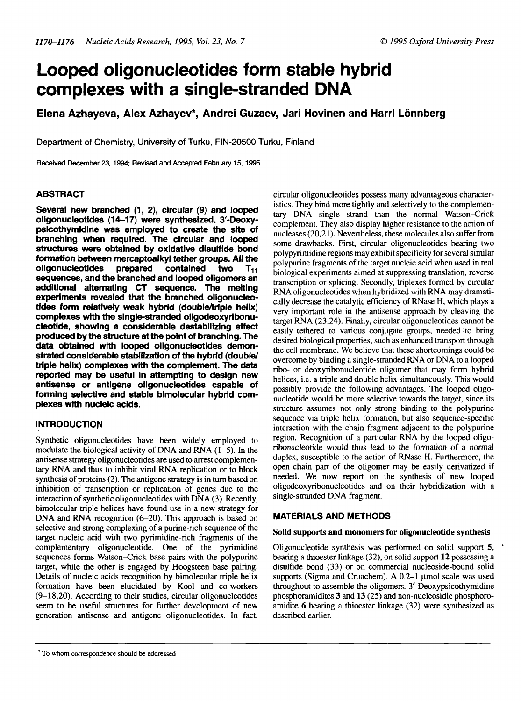# **Looped oligonucleotides form stable hybrid complexes with a single-stranded DNA**

## **Elena Azhayeva, Alex Azhayev\*, Andrei Guzaev, Jari Hovinen and Harri Lonnberg**

**Department of Chemistry, University of Turku, FIN-20500 Turku, Finland**

Received December 23,1994; Revised and Accepted February 15,1995

## **ABSTRACT**

**Several new branched (1, 2), circular (9) and looped oligonucleotides (14-17) were synthesized. 3-Deoxypslcothymldlne was employed to create the site of branching when required. The circular and looped structures were obtained by oxidatlve disulflde bond formation between mercaptoalkyl tether groups. All the oligonucleotides prepared contained two Tni sequences, and the branched and looped oligomers an additional alternating CT sequence. The melting experiments revealed that the branched oligonucleotides form relatively weak hybrid (double/triple helix)** complexes with the single-stranded oligodeoxyribonu**cleotide, showing a considerable destabilizing effect produced by the structure at the point of branching. The data obtained with looped oligonucleotides demonstrated considerable stabilization of the hybrid (double/ triple helix) complexes with the complement The data reported may be useful In attempting to design new antisense or antlgene oligonucleotides capable of forming selective and stable bimolecular hybrid complexes with nucleic acids.**

## **INTRODUCTION**

Synthetic oligonucleotides have been widely employed to modulate the biological activity of DNA and RNA (1-5). In the antisense strategy oligonucleotides are used to arrest complementary RNA and thus to inhibit viral RNA replication or to block synthesis of proteins (2). The antigene strategy is in turn based on inhibition of transcription or replication of genes due to the interaction of synthetic oligonucleotides with DNA (3). Recently, bimolecular triple helices have found use in a new strategy for DNA and RNA recognition (6-20). This approach is based on selective and strong complexing of a purine-rich sequence of the target nucleic acid with two pyrimidine-rich fragments of the complementary oligonucleotide. One of the pyrimidine sequences forms Watson-Crick base pairs with the polypurine target, while the other is engaged by Hoogsteen base pairing. Details of nucleic acids recognition by bimolecular triple helix formation have been elucidated by Kool and co-workers (9-18,20). According to their studies, circular oligonucleotides seem to be useful structures for further development of new generation antisense and antigene oligonucleotides. In fact,

circular oligonucleotides possess many advantageous characteristics. They bind more tightly and selectively to the complementary DNA single strand than the normal Watson-Crick complement. They also display higher resistance to the action of nucleases (20,21). Nevertheless, these molecules also suffer from some drawbacks. First, circular oligonucleotides bearing two polypyrimidine regions may exhibit specificity for several similar polypurine fragments of the target nucleic acid when used in real biological experiments aimed at suppressing translation, reverse transcription or splicing. Secondly, triplexes formed by circular RNA oligonucleotides when hybridized with RNA may dramatically decrease the catalytic efficiency of RNase H, which plays a very important role in the antisense approach by cleaving the target RNA (23,24). Finally, circular oligonucleotides cannot be easily tethered to various conjugate groups, needed to bring desired biological properties, such as enhanced transport through the cell membrane. We believe that these shortcomings could be overcome by binding a single-stranded RNA or DNA to a looped ribo- or deoxyribonucleotide oligomer that may form hybrid helices, i.e. a triple and double helix simultaneously. This would possibly provide the following advantages. The looped oligonucleotide would be more selective towards the target, since its structure assumes not only strong binding to the polypurine sequence via triple helix formation, but also sequence-specific interaction with the chain fragment adjacent to the polypurine region. Recognition of a particular RNA by the looped oligoribonucleotide would thus lead to the formation of a normal duplex, susceptible to the action of RNase H. Furthermore, the open chain part of the oligomer may be easily derivatized if needed. We now report on the synthesis of new looped oligodeoxyribonucleotides and on their hybridization with a single-stranded DNA fragment.

### **MATERIALS AND METHODS**

#### **Solid supports and monomers for oligonucleotide synthesis**

Oligonucleotide synthesis was performed on solid support 5, bearing a thioester linkage (32), on solid support 12 possessing a disulfide bond (33) or on commercial nucleoside-bound solid supports (Sigma and Cruachem). A  $0.2-1$   $\mu$ mol scale was used throughout to assemble the oligomers. 3'-Deoxypsicothymidine phosphoramidites 3 and 13 (25) and non-nucleosidic phosphoroamidite 6 bearing a thioester linkage (32) were synthesized as described earlier.

<sup>\*</sup> To whom correspondence should be addressed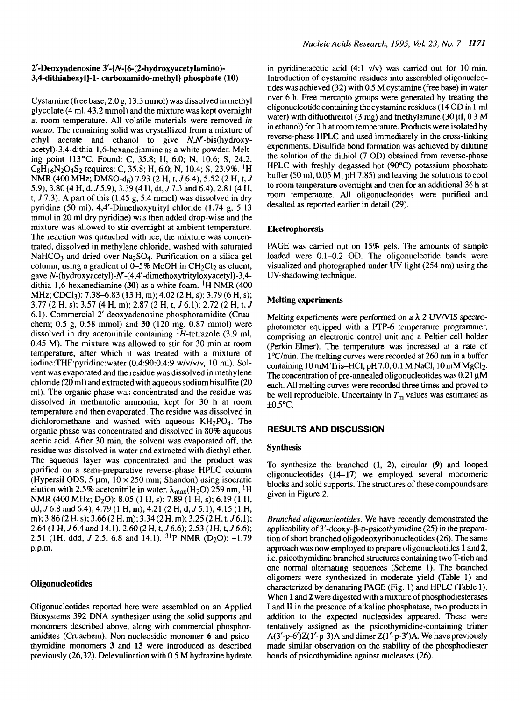#### **2'-Deoxyadenosine3'-{A<sup>r</sup> -[6-(2-hydroxyacetylamino)- 3,4-dithiahexyl]-l- carboxamido-methyi} phosphate (10)**

Cystamine (free base, 2.0 g, 13.3 mmol) was dissolved in methyl glycolate (4 ml, 43.2 mmol) and the mixture was kept overnight at room temperature. All volatile materials were removed *in vacuo.* The remaining solid was crystallized from a mixture of ethyl acetate and ethanol to give  $N_xN$ -bis(hydroxyacetyl)-3,4-dithia-1,6-hexanediamine as a white powder. Melting point 113°C. Found: C, 35.8; H, 6.0; N, 10.6; S, 24.2.  $C_8H_{16}N_2O_4S_2$  requires: C, 35.8; H, 6.0; N, 10.4; S, 23.9%. <sup>1</sup>H NMR (400 MHz; DMSO-dg) 7.93 (2 H, t, 7 6.4), 5.52 (2 H, t, 7 5.9), 3.80 (4 H,d, 7 5.9), 3.39 (4 H,dt, 77.3 and 6.4), 2.81 (4 H, t,  $J$  7.3). A part of this (1.45 g, 5.4 mmol) was dissolved in dry pyridine (50 ml). 4,4'-Dimethoxytrityl chloride (1.74 g, 5.13 mmol in 20 ml dry pyridine) was then added drop-wise and the mixture was allowed to stir overnight at ambient temperature. The reaction was quenched with ice, the mixture was concentrated, dissolved in methylene chloride, washed with saturated  $NaHCO<sub>3</sub>$  and dried over Na<sub>2</sub>SO<sub>4</sub>. Purification on a silica gel column, using a gradient of  $0-5\%$  MeOH in CH<sub>2</sub>Cl<sub>2</sub> as eluent, gave N-(hydroxyacetyl)- $N$ -(4,4'-dimethoxytrityloxyacetyl)-3,4gave  $N$ -(iiydioxyacciyi)- $N$ -( $\gamma$ ,  $\gamma$ -difficuloxyatiyioxyacciyi)-5, $\gamma$ -difficultions of  $\gamma$ MHz; CDCl<sub>3</sub>): 7.38–6.83 (13 H, m); 4.02 (2 H, s); 3.79 (6 H, s); 3.77 (2 H, s); 3.57 (4 H, m); 2.87 (2 H, t, 7 6.1); 2.72 (2 H, t, 7 6.1). Commercial 2'-deoxyadenosine phosphoramidite (Cruachem; 0.5 g, 0.58 mmol) and 30 (120 mg, 0.87 mmol) were dissolved in dry acetonitrile containing  $H$ -tetrazole (3.9 ml, 0.45 M). The mixture was allowed to stir for 30 min at room temperature, after which it was treated with a mixture of iodine:THF:pyridine:water (0.4:90:0.4:9 w/v/v/v, 10 ml). Solvent was evaporated and the residue was dissolved in methylene chloride (20 ml) and extracted with aqueous sodium bisulfite (20 ml). The organic phase was concentrated and the residue was dissolved in methanolic ammonia, kept for 30 h at room temperature and then evaporated. The residue was dissolved in dichloromethane and washed with aqueous KH2PO4. The  $\alpha$ concentrative and was set with aqueous  $\mathbf{N}$   $\mathbf{N}$   $\alpha$ . The organic phase was concentrated and dissolved in 80% aqueous acetic acid. After 30 min, the solvent was evaporated off, the residue was dissolved in water and extracted with diethyl ether. The aqueous layer was concentrated and the product was purified on a semi-preparative reverse-phase HPLC column (Hypersil ODS, 5  $\mu$ m,  $10 \times 250$  mm; Shandon) using isocratic elution with 2.5% acetonitrile in water.  $\lambda_{\text{max}}(H_2O)$  259 nm, <sup>1</sup>H NMR (400 MHz; D<sub>2</sub>O): 8.05 (1 H, s); 7.89 (1 H, s); 6.19 (1 H, dd,  $J$  6.8 and 6.4); 4.79 (1 H, m); 4.21 (2 H, d,  $J$  5.1); 4.15 (1 H, m); 3.86 (2 H, s); 3.66 (2 H, m); 3.34 (2 H, m); 3.25 (2 H, t, J 6.1); 2.64 (1 H, J 6.4 and 14.1). 2.60 (2 H, t, J 6.6); 2.53 (1H, t, J 6.6);  $2.51$  (

#### **Oligonudeo tides**

Oligonucleotides reported here were assembled on an Applied Biosystems 392 DNA synthesizer using the solid supports and monomers described above, along with commercial phosphoramidites (Cruachem). Non-nucleosidic monomer *6* and psicothymidine monomers 3 and **13** were introduced as described previously (26,32). Delevulination with 0.5 M hydrazine hydrate in pyridine:acetic acid (4:1 v/v) was carried out for 10 min. Introduction of cystamine residues into assembled oligonucleotides was achieved (32) with 0.5 M cystamine (free base) in water over 6 h. Free mercapto groups were generated by treating the oligonucleotide containing the cystamine residues (14 OD in 1 ml water) with dithiothreitol (3 mg) and triethylamine (30  $\mu$ 1, 0.3 M in ethanol) for 3 h at room temperature. Products were isolated by reverse-phase HPLC and used immediately in the cross-linking experiments. Disulfide bond formation was achieved by diluting the solution of the dithiol (7 OD) obtained from reverse-phase HPLC with freshly degassed hot (90°C) potassium phosphate buffer (50 ml, 0.05 M, pH 7.85) and leaving the solutions to cool to room temperature overnight and then for an additional 36 h at room temperature. All oligonucleotides were purified and desalted as reported earlier in detail (29).

#### **Electrophoresis**

PAGE was carried out on 15% gels. The amounts of sample loaded were 0.1-0.2 OD. The oligonucleotide bands were visualized and photographed under UV light (254 nm) using the UV-shadowing technique.

#### **Melting experiments**

Melting experiments were performed on a *X* 2 UWVIS spectrophotometer equipped with a PTP-6 temperature programmer, comprising an electronic control unit and a Peltier cell holder (Perkin-ELmer). The temperature was increased at a rate of 1 °C/min. The melting curves were recorded at 260 nm in a buffer containing 10 mM Tris-HCl, pH 7.0, 0.1 M NaCl, 10 mM MgCl<sub>2</sub>. The concentration of pre-annealed oligonucleotides was  $0.21 \mu M$ each. All melting curves were recorded three times and proved to be well reproducible. Uncertainty in  $T<sub>m</sub>$  values was estimated as  $\pm 0.5$ °C.

#### **RESULTS AND DISCUSSION**

#### **Synthesis**

To synthesize the branched (1, 2), circular (9) and looped oligonucleotides **(14-17)** we employed several monomeric blocks and solid supports. The structures of these compounds are given in Figure 2.

*Branched oligonucleotides.* We have recently demonstrated the applicability of  $3'$ -deoxy- $\beta$ -D-psicothymidine (25) in the preparation of short branched oligodeoxyribonucleotides (26). The same approach was now employed to prepare oligonucleotides 1 and 2, i.e. psicothymidine branched structures containing two T-rich and one normal alternating sequences (Scheme 1). The branched oligomers were synthesized in moderate yield (Table 1) and characterized by denaturing PAGE (Fig. 1) and HPLC (Table 1). When 1 and 2 were digested with a mixture of phosphodiesterases I and II in the presence of alkaline phosphatase, two products in addition to the expected nucleosides appeared. These were tentatively assigned as the psicothymidine-containing trimer  $A(3'-p-6')Z(1'-p-3)A$  and dimer  $Z(1'-p-3')A$ . We have previously made similar observation on the stability of the phosphodiester bonds of psicothymidine against nucleases (26).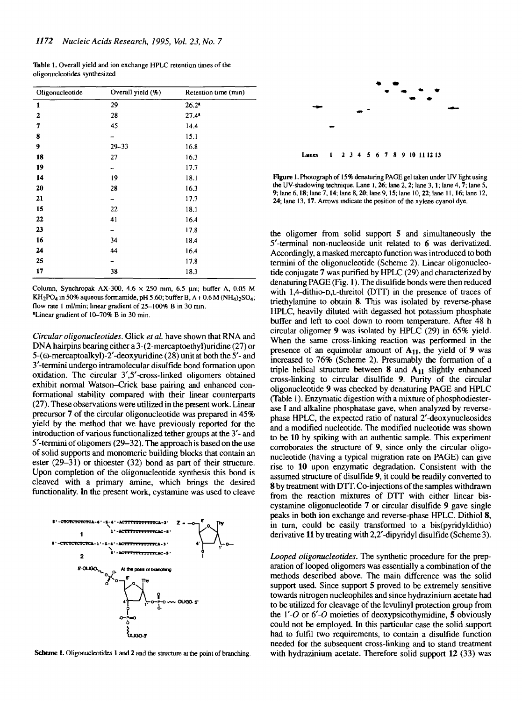| Oligonucleotide | Overall yield (%) | Retention time (min) |
|-----------------|-------------------|----------------------|
| 1               | 29                | $26.2^{\circ}$       |
| 2               | 28                | $27.4^{\circ}$       |
| 7               | 45                | 14.4                 |
| ۰<br>8          |                   | 15.1                 |
| 9               | $29 - 33$         | 16.8                 |
| 18              | 27                | 16.3                 |
| 19              |                   | 17.7                 |
| 14              | 19                | 18.1                 |
| 20              | 28                | 16.3                 |
| 21              |                   | 17.7                 |
| 15              | 22                | 18.1                 |
| 22              | 41                | 16.4                 |
| 23              |                   | 17.8                 |
| 16              | 34                | 18.4                 |
| 24              | 44                | 16.4                 |
| 25              |                   | 17.8                 |
| 17              | 38                | 18.3                 |

Table 1. Overall yield and ion exchange HPLC retention times of the oligonucleotides synthesized

Column, Synchropak AX-300, 4.6 *x* 250 mm, 6.5 *\lm;* buffer A, 0.05 M KH<sub>2</sub>PO<sub>4</sub> in 50% aqueous formamide, pH 5.60; buffer B,  $A + 0.6 M (NH<sub>4</sub>)$ <sub>2</sub>SO<sub>4</sub>; flow rate 1 ml/min; linear gradient of 25-100% B in 30 nun. •Linear gradient of 10-70% B in 30 min.

*Circular oligonucleotides.* Glick *et al.* have shown that RNA and DNA hairpins bearing either a 3-(2-mercaptoethyl)uridine (27) or 5-((o-mercaptoalkyl)-2'-deoxyuridine (28) unit at both the 5'- and 3'-termini undergo intramolecular disulfide bond formation upon oxidation. The circular 3',5'-cross-linked oligomers obtained exhibit normal Watson-Crick base pairing and enhanced conformational stability compared with their linear counterparts (27). These observations were utilized in the present work. Linear precursor 7 of the circular oligonucleotide was prepared in 45% yield by the method that we have previously reported for the introduction of various functionalized tether groups at the 3'- and 5'-termini of oligomers (29-32). The approach is based on the use of solid supports and monomeric building blocks that contain an ester (29-31) or thioester (32) bond as part of their structure. Upon completion of the oligonucleotide synthesis this bond is cleaved with a primary amine, which brings the desired functionality. In the present work, cystamine was used to cleave



Scheme 1. Oligonucleotides 1 and 2 and the structure at the point of branching.



Lanes 1 2 3 4 5 6 7 8 9 10 111213

Figure 1. Photograph of 15% denaturing PAGE gel taken under UV light using the UV-shadowing technique. Lane 1,26; lane 2,2; lane 3,1; lane 4,7; lane 5, 9; lane 6,18; lane 7,14; lane 8,20; lane 9,15; lane 10,22; lane 11,16; lane 12, 24; lane 13,17. Arrows indicate the position of the xylene cyanol dye.

the oligomer from solid support 5 and simultaneously the 5'-terminal non-nucleoside unit related to 6 was derivatized. Accordingly, a masked mercapto function was introduced to both termini of the oligonucleotide (Scheme 2). Linear oligonucleotide conjugate 7 was purified by HPLC (29) and characterized by denaturing PAGE (Fig. 1). The disulfide bonds were then reduced with l,4-dithio-D,L-threitol (DTT) in the presence of traces of triethylamine to obtain 8. This was isolated by reverse-phase HPLC, heavily diluted with degassed hot potassium phosphate buffer and left to cool down to room temperature. After 48 h circular oligomer 9 was isolated by HPLC (29) in 65% yield. When the same cross-linking reaction was performed in the presence of an equimolar amount of  $A_{11}$ , the yield of 9 was increased to 76% (Scheme 2). Presumably the formation of a triple helical structure between  $8$  and  $A_{11}$  slightly enhanced cross-linking to circular disulfide 9. Purity of the circular oligonucleotide 9 was checked by denaturing PAGE and HPLC (Table 1). Enzymatic digestion with a mixture of phosphodiesterase I and alkaline phosphatase gave, when analyzed by reversephase HPLC, the expected ratio of natural 2'-deoxynucleosides and a modified nucleotide. The modified nucleotide was shown to be 10 by spiking with an authentic sample. This experiment corroborates the structure of 9, since only the circular oligonucleotide (having a typical migration rate on PAGE) can give rise to 10 upon enzymatic degradation. Consistent with the assumed structure of disulfide 9, it could be readily converted to 8 by treatment with DTT. Co-injections of the samples withdrawn from the reaction mixtures of DTT with either linear biscystamine oligonucleotide 7 or circular disulfide 9 gave single peaks in both ion exchange and reverse-phase HPLC. Dithiol 8, in turn, could be easily transformed to a bis(pyridyldithio) derivative 11 by treating with 2,2'-dipyridyl disulfide (Scheme 3).

*Looped oligonucleotides.* The synthetic procedure for the preparation of looped oligomers was essentially a combination of the methods described above. The main difference was the solid support used. Since support 5 proved to be extremely sensitive towards nitrogen nucleophiles and since hydrazinium acetate had to be utilized for cleavage of the levulinyl protection group from the *Y-O* or *6'-0* moieties of deoxypsicothymidine, 5 obviously could not be employed. In this particular case the solid support had to fulfil two requirements, to contain a disulfide function needed for the subsequent cross-Unking and to stand treatment with hydrazinium acetate. Therefore solid support 12 (33) was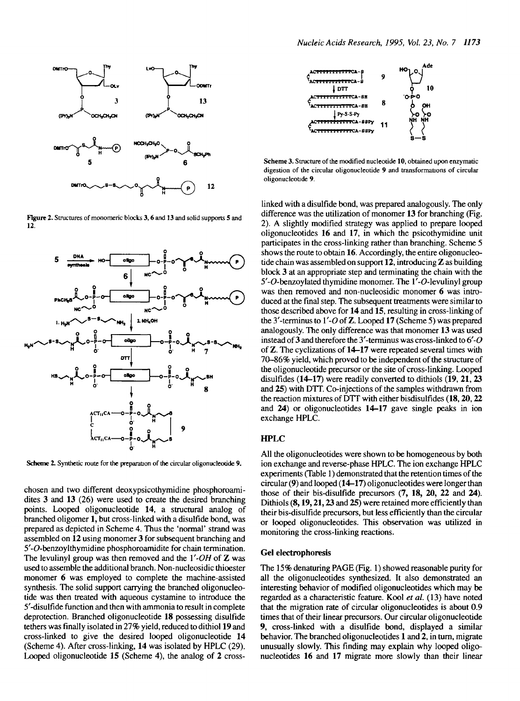

**Figure 2.** Structures of monomeric blocks 3,6 and 13 and solid supports 5 and 12.



**Scheme** 2. Synthetic route for the preparation of the circular oligonucleotide **9.**

chosen and two different deoxypsicothymidine phosphoroamidites 3 and 13 (26) were used to create the desired branching points. Looped oligonucleotide 14, a structural analog of branched oligomer 1, but cross-linked with a disulfide bond, was prepared as depicted in Scheme 4. Thus the 'normal' strand was assembled on 12 using monomer 3 for subsequent branching and 5'-O-benzoylthymidine phosphoroamidite for chain termination. The levulinyl group was then removed and the *Y-OH* of Z was used to assemble the additional branch. Non-nucleosidic thioester monomer 6 was employed to complete the machine-assisted synthesis. The solid support carrying the branched oligonucleotide was then treated with aqueous cystamine to introduce the 5'-disulfide function and then with ammonia to result in complete deprotection. Branched oligonucleotide 18 possessing disulfide tethers was finally isolated in 27% yield, reduced to dithiol 19 and cross-linked to give the desired looped oligonucleotide 14 (Scheme 4). After cross-linking, 14 was isolated by HPLC (29). Looped oligonucleotide 15 (Scheme 4), the analog of 2 cross-



Scheme 3. Structure of the modified nucleotide 10, obtained upon enzymatic digestion of the circular oligonucleotide 9 and transformations of circular oligonucleotide 9.

linked with a disulfide bond, was prepared analogously. The only difference was the utilization of monomer 13 for branching (Fig. 2). A slightly modified strategy was applied to prepare looped oligonucleotides 16 and 17, in which the psicothymidine unit participates in the cross-linking rather than branching. Scheme 5 shows the route to obtain 16. Accordingly, the entire oligonucleotide chain was assembled on support 12, introducing Z as building block 3 at an appropriate step and terminating the chain with the 5'-O-benzoylated thymidine monomer. The l'-O-levulinyl group was then removed and non-nucleosidic monomer 6 was introduced at the final step. The subsequent treatments were similar to those described above for 14 and 15, resulting in cross-linking of the 3'-terminus to *Y-0* of Z. Looped 17 (Scheme 5) was prepared analogously. The only difference was that monomer 13 was used instead of 3 and therefore the 3'-terminus was cross-linked to *6'-O* of Z. The cyclizations of 14-17 were repeated several times with 70-86% yield, which proved to be independent of the structure of the oligonucleotide precursor or the site of cross-linking. Looped disulfides (14-17) were readily converted to dithiols (19, 21, 23 and 25) with DTT. Co-injections of the samples withdrawn from the reaction mixtures of DTT with either bisdisulfides (18,20,22 and 24) or oligonucleotides 14-17 gave single peaks in ion exchange HPLC.

## HPLC

All the oligonucleotides were shown to be homogeneous by both ion exchange and reverse-phase HPLC. The ion exchange HPLC experiments (Table 1) demonstrated that the retention times of the circular (9) and looped (14—17) oligonucleotides were longer than those of their bis-disulfide precursors (7, 18, 20, 22 and 24). Dithiols (8, 19, 21, 23 and 25) were retained more efficiently than their bis-disulfide precursors, but less efficiently than the circular or looped oligonucleotides. This observation was utilized in monitoring the cross-linking reactions.

#### Gel electrophoresis

The 15% denaturing PAGE (Fig. 1) showed reasonable purity for all the oligonucleotides synthesized. It also demonstrated an interesting behavior of modified oligonucleotides which may be regarded as a characteristic feature. Kool *et al.* (13) have noted that the migration rate of circular oligonucleotides is about 0.9 times that of their linear precursors. Our circular oligonucleotide 9, cross-linked with a disulfide bond, displayed a similar behavior. The branched oligonucleotides 1 and 2, in turn, migrate unusually slowly. This finding may explain why looped oligonucleotides 16 and 17 migrate more slowly than their linear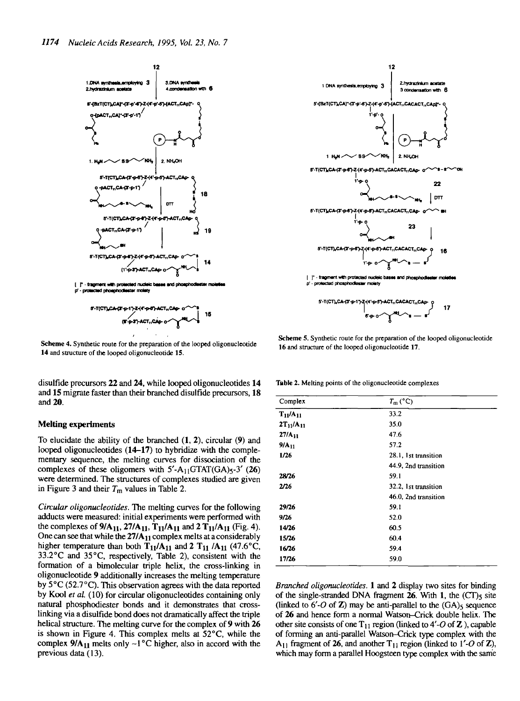

**Scheme 4.** Synthetic route for the preparation of the looped oligonucleotide **14** and structure of the looped oligonucleotide **15.**

disulfide precursors **22** and **24,** while looped oligonucleotides **14** and 15 migrate faster than their branched disulfide precursors, **18** and **20.**

#### **Melting experiments**

To elucidate the ability of the branched (1, 2), circular (9) and looped oligonucleotides **(14-17)** to hybridize with the complementary sequence, the melting curves for dissociation of the complexes of these oligomers with  $5'$ -A<sub>11</sub>GTAT(GA)<sub>5</sub>-3' (26) were determined. The structures of complexes studied are given in Figure 3 and their  $T_m$  values in Table 2.

*Circular oligonucleotides.* The melting curves for the following adducts were measured: initial experiments were performed with the complexes of  $9/A_{11}$ ,  $27/A_{11}$ ,  $T_{11}/A_{11}$  and  $2T_{11}/A_{11}$  (Fig. 4). One can see that while the  $27/A_{11}$  complex melts at a considerably higher temperature than both  $T_{11}/A_{11}$  and 2  $T_{11}/A_{11}$  (47.6°C, 33.2°C and 35°C, respectively, Table 2), consistent with the formation of a bimolecular triple helix, the cross-linking in oligonucleotide 9 additionally increases the melting temperature by 5°C (52.7°Q. This observation agrees with the data reported by Kool *et aL* (10) for circular oligonucleotides containing only natural phosphodiester bonds and it demonstrates that crosslinking via a disulfide bond does not dramatically affect the triple helical structure. The melting curve for the complex of 9 with 26 is shown in Figure 4. This complex melts at 52°C, while the complex  $9/A_{11}$  melts only ~1°C higher, also in accord with the previous data (13).



**Scheme** S. Synthetic route for the preparation of the looped oligonucleotide **16** and structure of the looped oligonucleotide **17.**

**Table 2.** Melting points of the oligonucleotide complexes

| Complex          | $T_m$ (°C)           |  |
|------------------|----------------------|--|
| $T_{11}/A_{11}$  | 33.2                 |  |
| $2T_{11}/A_{11}$ | 35.0                 |  |
| $27/A_{11}$      | 47.6                 |  |
| $9/A_{11}$       | 57.2                 |  |
| 1/26             | 28.1, 1st transition |  |
|                  | 44.9, 2nd transition |  |
| 28/26            | 59.1                 |  |
| 2/26             | 32.2, 1st transition |  |
|                  | 46.0, 2nd transition |  |
| 29/26            | 59.1                 |  |
| 9/26             | 52.0                 |  |
| 14/26            | 60.5                 |  |
| 15/26            | 60.4                 |  |
| 16/26            | 59.4                 |  |
| 17/26            | 59.0                 |  |

*Branched oligonucleotides.* 1 and 2 display two sites for binding of the single-stranded DNA fragment  $26$ . With 1, the  $(CT)$ <sub>5</sub> site (linked to  $6'$ -O of  $\mathbb{Z}$ ) may be anti-parallel to the  $(GA)$ <sub>s</sub> sequence of 26 and hence form a normal Watson-Crick double helix. The other site consists of one  $T_{11}$  region (linked to 4'-O of Z), capable of forming an anti-parallel Watson-Crick type complex with the A<sub>11</sub> fragment of 26, and another  $T_{11}$  region (linked to  $1'-O$  of Z), which may form a parallel Hoogsteen type complex with the same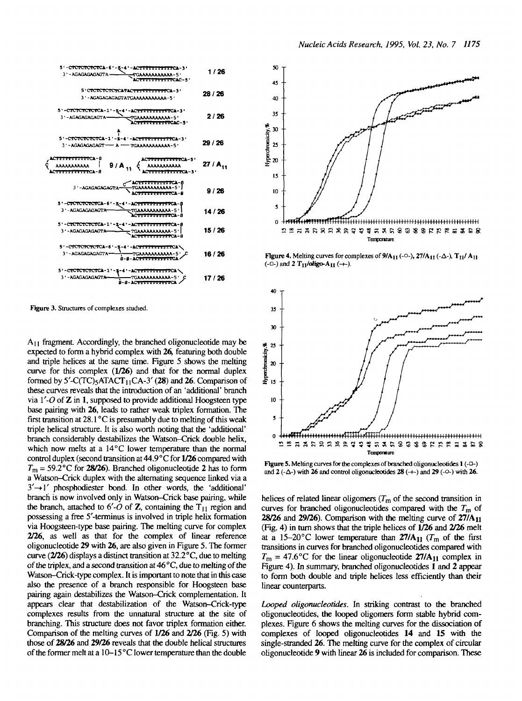| 5'-CTCTCTCTCTCA-6'-5-4'-ACTTTTTTTTTTCA-3'<br>3 '-AGAGAGAGAGTA-<br>TGAAAAAAAAAAA-5'<br>C <del>rinthine</del> caC-5'       | 1 / 26        |
|--------------------------------------------------------------------------------------------------------------------------|---------------|
| 5'CTCTCTCTCTCATACTTTTTTTTTTCA-3'<br>3'-AGAGAGAGAGTATGAAAAAAAAAAA-5'                                                      | 28 / 26       |
| 5'-CTCTCTCTCTCA-1'-g-4'-AC <del>TITTTTTTTTC</del> A-3'<br>3'-AGAGAGAGAGTA-<br>TGAAAAAAAAAAA-5'<br><b>TITTITTTTCAC-5*</b> | 2 / 26        |
| 5'-CTCTCTCTCTCA-1'-\$-4'-ACTTTTTTTTTTCA-3'<br>3'-AGAGAGAGAGT - A - TGAAAAAAAAAAA-5'                                      | 29 / 26       |
| <b>TITTITCA-8</b><br><del></del> cl-5'<br><b>AAAAAAAAAA</b><br>$9/4_{11}$<br><del>ти п</del> сь-я                        | 27 / $A_{11}$ |
| <del>. IIIII.IIII</del> CA-8<br><b>AAAAA-5  </b><br>3'-AGAGAGAGAGTA                                                      | 9 / 26        |
| 5'-CTCTCTCTCTCA-6'-E-4'-ACTTTTTTTTTTCA-8<br>3 - AGAGAGAGAGTA<br>TGAAAAAAAAAAA-5                                          | 14 / 26       |
| 5'-CTCTCTCTCTCA-1'-Z-4'-ACTTTTTTTTTTCA-8<br>3'-AGAGAGAGACTA<br>TGAAAAAAAAAAA-5'<br><del>.</del> 8                        | 15 / 26       |
| 5'-CTCTCTCTCTCA-6'-5-4'-ACTTTTTTTTTCA\<br>3 '-AGAGAGAGAGTA-<br>-TGAAAAAAAAAAA-5'<br>8-8-AC <del>TIVITITITI</del> CA      | 16 / 26       |
| 5'-CTCTCTCTCTCA-1'-8-4'-ACTTTTTTTTTTCA<br>3 ' - AGAGAGAGACTA<br>TGAAAAAAAAAAA-5'<br>8-8-AC <del>TITITITIT</del> CI       | 17 / 26       |

**Figure 3. Structures of complexes studied.**

 $A_{11}$  fragment. Accordingly, the branched oligonucleotide may be expected to form a hybrid complex with **26,** featuring both double and triple helices at the same time. Figure 5 shows the melting curve for this complex **(1/26)** and that for the normal duplex formed by  $5'$ -C(TC)<sub>5</sub>ATACT<sub>11</sub>CA-3' (28) and 26. Comparison of these curves reveals that the introduction of an 'additional' branch via *V-0* of Z in 1, supposed to provide additional Hoogsteen type base pairing with **26,** leads to rather weak triplex formation. The first transition at  $28.1^{\circ}$ C is presumably due to melting of this weak triple helical structure. It is also worth noting that the 'additional' branch considerably destabilizes the Watson-Crick double helix, which now melts at a 14<sup>o</sup>C lower temperature than the normal control duplex (second transition at 44.9 ° C for **1/26** compared with  $T_m$  = 59.2 °C for 28/26). Branched oligonucleotide 2 has to form a Watson-Crick duplex with the alternating sequence linked via a  $3' \rightarrow 1'$  phosphodiester bond. In other words, the 'additional' branch is now involved only in Watson-Crick base pairing, while the branch, attached to  $6'$ -O of **Z**, containing the  $T_{11}$  region and possessing a free 5'-terminus is involved in triple helix formation via Hoogsteen-type base pairing. The melting curve for complex **2/26,** as well as that for the complex of linear reference oligonucleotide **29** with **26,** are also given in Figure 5. The former curve **(2/26)** displays a distinct transition at 32.2 °C, due to melting of the triplex, and a second transition at  $46^{\circ}$ C, due to melting of the Watson-Crick-type complex. It is important to note that in this case watson-Crick-type complex. It is important to note that in this case<br>also the presence of a branch responsible for Hoogsteen base also the presence of a branch responsible for Hoogsteen base<br>pairing again destabilizes the Watson-Crick complementation. It pairing again destabilizes the Watson-Crick complementation. It appears clear that destabilization of the Watson-Crick-type complexes results from the unnatural structure at the site of branching. This structure does not favor triplex formation either. Comparison of the melting curves of  $1/26$  and  $2/26$  (Fig. 5) with those of 28/26 and 29/26 reveals that the double helical structures of the former melt at a  $10-15^{\circ}$ C lower temperature than the double



**Figure 4.** Melting curves for complexes of  $9/A_{11}$  (- $\circ$ -),  $27/A_{11}$  (- $\triangle$ -),  $T_{11}/A_{11}$  $(-\Box)$  and 2 T<sub>11</sub>/oligo-A<sub>11</sub>  $(+)$ .



**Figure 5. Melting curves for the complexes of branched oligonucleotides 1 (-D-)** and  $2$  ( $-\Delta$ -) with  $26$  and control oligonucleotides  $28$  ( $\rightarrow$ ) and  $29$  ( $-\odot$ ) with  $26$ .

helices of related linear oligomers *(Tm* of the second transition in curves for branched oligonucleotides compared with the *Tm* of **28/26** and **29/26).** Comparison with the melting curve of **27/Au** (Fig. 4) in turn shows that the triple helices of **1/26** and **2/26** melt at a 15-20°C lower temperature than  $27/A_{11}$  ( $T_m$  of the first transitions in curves for branched oligonucleotides compared with  $T_m = 47.6$ °C for the linear oligonucleotide 27/A<sub>11</sub> complex in Figure 4). In summary, branched oligonucleotides 1 and 2 appear to form both double and triple helices less efficiently than their linear counterparts.

*Looped oligonucleotides.* In striking contrast to the branched oligonucleotides, the looped oligomers form stable hybrid complexes. Figure 6 shows the melting curves for the dissociation of complexes of looped oligonucleotides 14 and 15 with the single-stranded **26.** The melting curve for the complex of circular oligonucleotide 9 with linear **26** is included for comparison. These